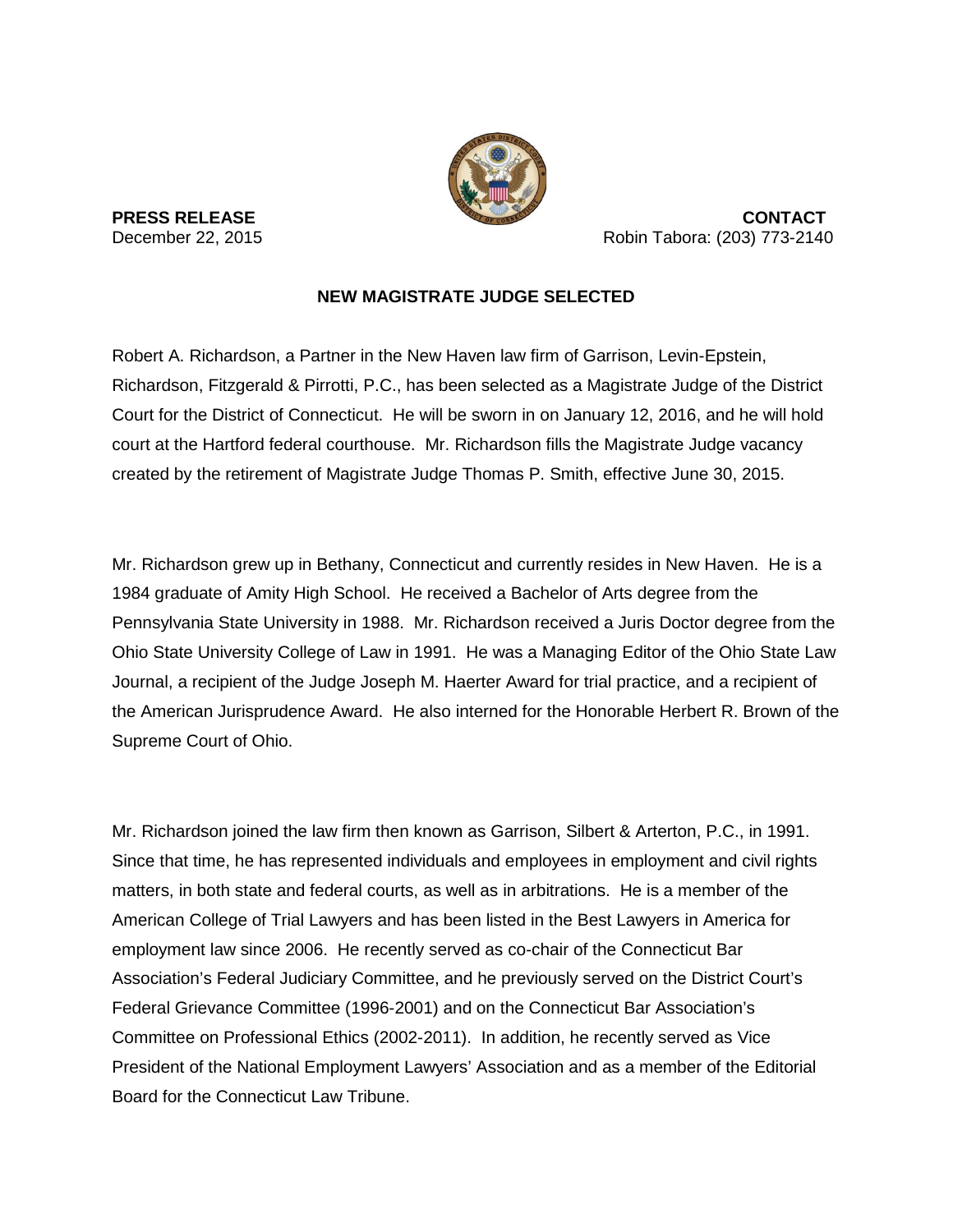

**PRESS RELEASE CONTACT** December 22, 2015 Robin Tabora: (203) 773-2140

## **NEW MAGISTRATE JUDGE SELECTED**

Robert A. Richardson, a Partner in the New Haven law firm of Garrison, Levin-Epstein, Richardson, Fitzgerald & Pirrotti, P.C., has been selected as a Magistrate Judge of the District Court for the District of Connecticut. He will be sworn in on January 12, 2016, and he will hold court at the Hartford federal courthouse. Mr. Richardson fills the Magistrate Judge vacancy created by the retirement of Magistrate Judge Thomas P. Smith, effective June 30, 2015.

Mr. Richardson grew up in Bethany, Connecticut and currently resides in New Haven. He is a 1984 graduate of Amity High School. He received a Bachelor of Arts degree from the Pennsylvania State University in 1988. Mr. Richardson received a Juris Doctor degree from the Ohio State University College of Law in 1991. He was a Managing Editor of the Ohio State Law Journal, a recipient of the Judge Joseph M. Haerter Award for trial practice, and a recipient of the American Jurisprudence Award. He also interned for the Honorable Herbert R. Brown of the Supreme Court of Ohio.

Mr. Richardson joined the law firm then known as Garrison, Silbert & Arterton, P.C., in 1991. Since that time, he has represented individuals and employees in employment and civil rights matters, in both state and federal courts, as well as in arbitrations. He is a member of the American College of Trial Lawyers and has been listed in the Best Lawyers in America for employment law since 2006. He recently served as co-chair of the Connecticut Bar Association's Federal Judiciary Committee, and he previously served on the District Court's Federal Grievance Committee (1996-2001) and on the Connecticut Bar Association's Committee on Professional Ethics (2002-2011). In addition, he recently served as Vice President of the National Employment Lawyers' Association and as a member of the Editorial Board for the Connecticut Law Tribune.